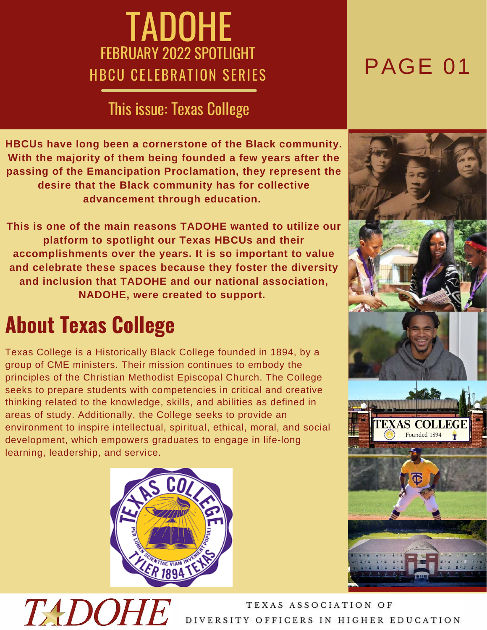## TADOHE FEBRUARY 2022 SPOTLIGHT HBCU CELEBRATION SERIES

### This issue: Texas College

**HBCUs have long been a cornerstone of the Black community. With the majority of them being founded a few years after the passing of the Emancipation Proclamation, they represent the desire that the Black community has for collective advancement through education.**

**This is one of the main reasons TADOHE wanted to utilize our platform to spotlight our Texas HBCUs and their accomplishments over the years. It is so important to value and celebrate these spaces because they foster the diversity and inclusion that TADOHE and our national association, NADOHE, were created to support.**

## **About Texas College**

TADOHE

Texas College is a Historically Black College founded in 1894, by a group of CME ministers. Their mission continues to embody the principles of the Christian Methodist Episcopal Church. The College seeks to prepare students with competencies in critical and creative thinking related to the knowledge, skills, and abilities as defined in areas of study. Additionally, the College seeks to provide an environment to inspire intellectual, spiritual, ethical, moral, and social development, which empowers graduates to engage in life-long learning, leadership, and service.



## PAGE 01

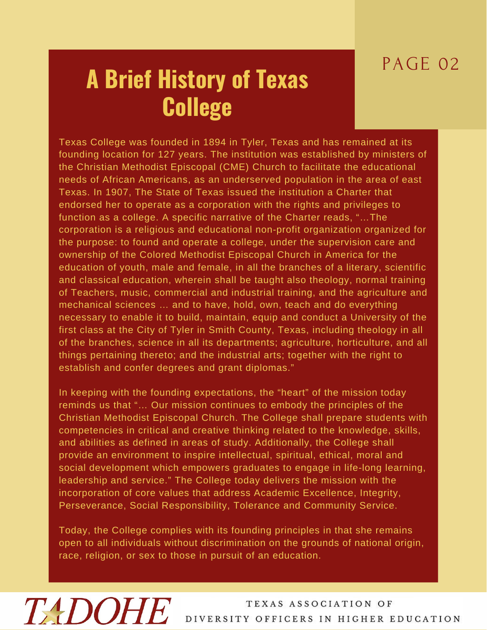## PAGE 02

# **A Brief History of Texas College**

Texas College was founded in 1894 in Tyler, Texas and has remained at its founding location for 127 years. The institution was established by ministers of the Christian Methodist Episcopal (CME) Church to facilitate the educational needs of African Americans, as an underserved population in the area of east Texas. In 1907, The State of Texas issued the institution a Charter that endorsed her to operate as a corporation with the rights and privileges to function as a college. A specific narrative of the Charter reads, "…The corporation is a religious and educational non-profit organization organized for the purpose: to found and operate a college, under the supervision care and ownership of the Colored Methodist Episcopal Church in America for the education of youth, male and female, in all the branches of a literary, scientific and classical education, wherein shall be taught also theology, normal training of Teachers, music, commercial and industrial training, and the agriculture and mechanical sciences … and to have, hold, own, teach and do everything necessary to enable it to build, maintain, equip and conduct a University of the first class at the City of Tyler in Smith County, Texas, including theology in all of the branches, science in all its departments; agriculture, horticulture, and all things pertaining thereto; and the industrial arts; together with the right to establish and confer degrees and grant diplomas."

In keeping with the founding expectations, the "heart" of the mission today reminds us that "… Our mission continues to embody the principles of the Christian Methodist Episcopal Church. The College shall prepare students with competencies in critical and creative thinking related to the knowledge, skills, and abilities as defined in areas of study. Additionally, the College shall provide an environment to inspire intellectual, spiritual, ethical, moral and social development which empowers graduates to engage in life-long learning, leadership and service." The College today delivers the mission with the incorporation of core values that address Academic Excellence, Integrity, Perseverance, Social Responsibility, Tolerance and Community Service.

Today, the College complies with its founding principles in that she remains open to all individuals without discrimination on the grounds of national origin, race, religion, or sex to those in pursuit of an education.

# TADOHE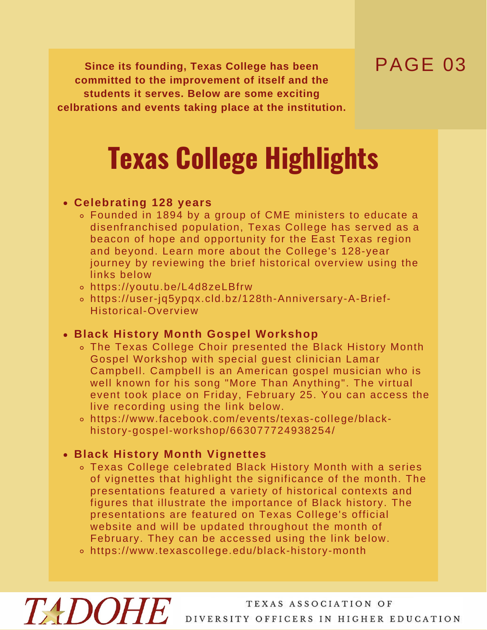## PAGE 03

**Since its founding, Texas College has been committed to the improvement of itself and the students it serves. Below are some exciting celbrations and events taking place at the institution.**

# **Texas College Highlights**

#### **Celebrating 128 years**

- Founded in 1894 by a group of CME ministers to educate a disenfranchised population, Texas College has served as a beacon of hope and opportunity for the East Texas region and beyond. Learn more about the College's 128-year journey by reviewing the brief historical overview using the links below
- https://youtu.be/L4d8zeLBfrw
- https://user-jq5ypqx.cld.bz/128th-Anniversary-A-Brief-Historical-Overview

### **Black History Month Gospel Workshop**

- The Texas College Choir presented the Black History Month Gospel Workshop with special guest clinician Lamar Campbell. Campbell is an American gospel musician who is well known for his song "More Than Anything". The virtual event took place on Friday, February 25. You can access the live recording using the link below.
- https://www.facebook.com/events/texas-college/blackhistory-gospel-workshop/663077724938254/

### **Black History Month Vignettes**

**TADOHE** 

- Texas College celebrated Black History Month with a series of vignettes that highlight the significance of the month. The presentations featured a variety of historical contexts and figures that illustrate the importance of Black history. The presentations are featured on Texas College's official website and will be updated throughout the month of February. They can be accessed using the link below.
- https://www.texascollege.edu/black-history-month